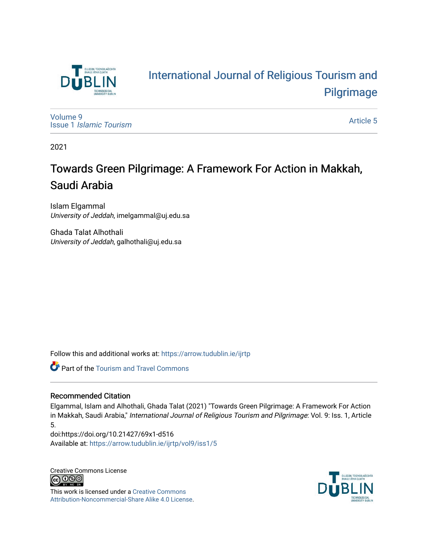

# [International Journal of Religious Tourism and](https://arrow.tudublin.ie/ijrtp)  [Pilgrimage](https://arrow.tudublin.ie/ijrtp)

[Volume 9](https://arrow.tudublin.ie/ijrtp/vol9) Issue 1 [Islamic Tourism](https://arrow.tudublin.ie/ijrtp/vol9/iss1)

[Article 5](https://arrow.tudublin.ie/ijrtp/vol9/iss1/5) 

2021

# Towards Green Pilgrimage: A Framework For Action in Makkah, Saudi Arabia

Islam Elgammal University of Jeddah, imelgammal@uj.edu.sa

Ghada Talat Alhothali University of Jeddah, galhothali@uj.edu.sa

Follow this and additional works at: [https://arrow.tudublin.ie/ijrtp](https://arrow.tudublin.ie/ijrtp?utm_source=arrow.tudublin.ie%2Fijrtp%2Fvol9%2Fiss1%2F5&utm_medium=PDF&utm_campaign=PDFCoverPages)

**Part of the [Tourism and Travel Commons](http://network.bepress.com/hgg/discipline/1082?utm_source=arrow.tudublin.ie%2Fijrtp%2Fvol9%2Fiss1%2F5&utm_medium=PDF&utm_campaign=PDFCoverPages)** 

# Recommended Citation

Elgammal, Islam and Alhothali, Ghada Talat (2021) "Towards Green Pilgrimage: A Framework For Action in Makkah, Saudi Arabia," International Journal of Religious Tourism and Pilgrimage: Vol. 9: Iss. 1, Article 5.

doi:https://doi.org/10.21427/69x1-d516 Available at: [https://arrow.tudublin.ie/ijrtp/vol9/iss1/5](https://arrow.tudublin.ie/ijrtp/vol9/iss1/5?utm_source=arrow.tudublin.ie%2Fijrtp%2Fvol9%2Fiss1%2F5&utm_medium=PDF&utm_campaign=PDFCoverPages)

Creative Commons License <u>@ 0®0</u>

This work is licensed under a [Creative Commons](https://creativecommons.org/licenses/by-nc-sa/4.0/) [Attribution-Noncommercial-Share Alike 4.0 License](https://creativecommons.org/licenses/by-nc-sa/4.0/).

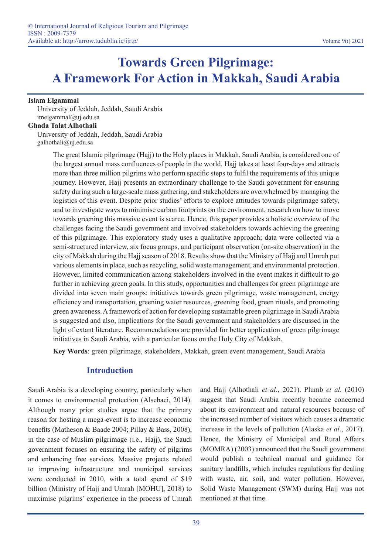# **Towards Green Pilgrimage: A Framework For Action in Makkah, Saudi Arabia**

#### **Islam Elgammal**

University of Jeddah, Jeddah, Saudi Arabia imelgammal@uj.edu.sa

#### **Ghada Talat Alhothali**

University of Jeddah, Jeddah, Saudi Arabia galhothali@uj.edu.sa

> The great Islamic pilgrimage (Hajj) to the Holy places in Makkah, Saudi Arabia, is considered one of the largest annual mass confluences of people in the world. Hajj takes at least four-days and attracts more than three million pilgrims who perform specific steps to fulfil the requirements of this unique journey. However, Hajj presents an extraordinary challenge to the Saudi government for ensuring safety during such a large-scale mass gathering, and stakeholders are overwhelmed by managing the logistics of this event. Despite prior studies' efforts to explore attitudes towards pilgrimage safety, and to investigate ways to minimise carbon footprints on the environment, research on how to move towards greening this massive event is scarce. Hence, this paper provides a holistic overview of the challenges facing the Saudi government and involved stakeholders towards achieving the greening of this pilgrimage. This exploratory study uses a qualitative approach; data were collected via a semi-structured interview, six focus groups, and participant observation (on-site observation) in the city of Makkah during the Hajj season of 2018. Results show that the Ministry of Hajj and Umrah put various elements in place, such as recycling, solid waste management, and environmental protection. However, limited communication among stakeholders involved in the event makes it difficult to go further in achieving green goals. In this study, opportunities and challenges for green pilgrimage are divided into seven main groups: initiatives towards green pilgrimage, waste management, energy efficiency and transportation, greening water resources, greening food, green rituals, and promoting green awareness. A framework of action for developing sustainable green pilgrimage in Saudi Arabia is suggested and also, implications for the Saudi government and stakeholders are discussed in the light of extant literature. Recommendations are provided for better application of green pilgrimage initiatives in Saudi Arabia, with a particular focus on the Holy City of Makkah.

**Key Words**: green pilgrimage, stakeholders, Makkah, green event management, Saudi Arabia

# **Introduction**

Saudi Arabia is a developing country, particularly when it comes to environmental protection (Alsebaei, 2014). Although many prior studies argue that the primary reason for hosting a mega-event is to increase economic benefits (Matheson & Baade 2004; Pillay & Bass, 2008), in the case of Muslim pilgrimage (i.e., Hajj), the Saudi government focuses on ensuring the safety of pilgrims and enhancing free services. Massive projects related to improving infrastructure and municipal services were conducted in 2010, with a total spend of \$19 billion (Ministry of Hajj and Umrah [MOHU], 2018) to maximise pilgrims' experience in the process of Umrah and Hajj (Alhothali *et al.*, 2021). Plumb *et al.* (2010) suggest that Saudi Arabia recently became concerned about its environment and natural resources because of the increased number of visitors which causes a dramatic increase in the levels of pollution (Alaska *et al*., 2017). Hence, the Ministry of Municipal and Rural Affairs (MOMRA) (2003) announced that the Saudi government would publish a technical manual and guidance for sanitary landfills, which includes regulations for dealing with waste, air, soil, and water pollution. However, Solid Waste Management (SWM) during Hajj was not mentioned at that time.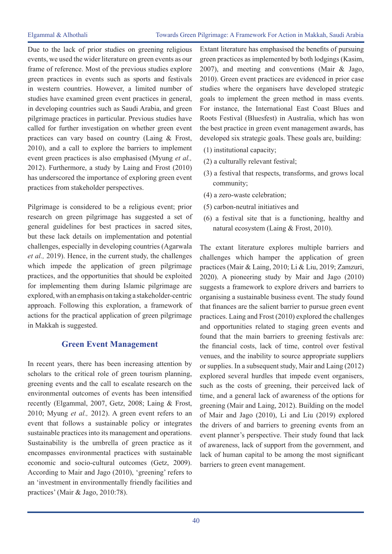Due to the lack of prior studies on greening religious events, we used the wider literature on green events as our frame of reference. Most of the previous studies explore green practices in events such as sports and festivals in western countries. However, a limited number of studies have examined green event practices in general, in developing countries such as Saudi Arabia, and green pilgrimage practices in particular. Previous studies have called for further investigation on whether green event practices can vary based on country (Laing & Frost, 2010), and a call to explore the barriers to implement event green practices is also emphasised (Myung *et al.,* 2012). Furthermore, a study by Laing and Frost (2010) has underscored the importance of exploring green event practices from stakeholder perspectives.

Pilgrimage is considered to be a religious event; prior research on green pilgrimage has suggested a set of general guidelines for best practices in sacred sites, but these lack details on implementation and potential challenges, especially in developing countries (Agarwala *et al.,* 2019). Hence, in the current study, the challenges which impede the application of green pilgrimage practices, and the opportunities that should be exploited for implementing them during Islamic pilgrimage are explored, with an emphasis on taking a stakeholder-centric approach. Following this exploration, a framework of actions for the practical application of green pilgrimage in Makkah is suggested.

# **Green Event Management**

In recent years, there has been increasing attention by scholars to the critical role of green tourism planning, greening events and the call to escalate research on the environmental outcomes of events has been intensified recently (Elgammal, 2007, Getz, 2008; Laing & Frost, 2010; Myung *et al.,* 2012). A green event refers to an event that follows a sustainable policy or integrates sustainable practices into its management and operations. Sustainability is the umbrella of green practice as it encompasses environmental practices with sustainable economic and socio-cultural outcomes (Getz, 2009). According to Mair and Jago (2010), 'greening' refers to an 'investment in environmentally friendly facilities and practices' (Mair & Jago, 2010:78).

Extant literature has emphasised the benefits of pursuing green practices as implemented by both lodgings (Kasim, 2007), and meeting and conventions (Mair & Jago, 2010). Green event practices are evidenced in prior case studies where the organisers have developed strategic goals to implement the green method in mass events. For instance, the International East Coast Blues and Roots Festival (Bluesfest) in Australia, which has won the best practice in green event management awards, has developed six strategic goals. These goals are, building:

- (1) institutional capacity;
- (2) a culturally relevant festival;
- (3) a festival that respects, transforms, and grows local community;
- (4) a zero-waste celebration;
- (5) carbon-neutral initiatives and
- (6) a festival site that is a functioning, healthy and natural ecosystem (Laing & Frost, 2010).

The extant literature explores multiple barriers and challenges which hamper the application of green practices (Mair & Laing, 2010; Li & Liu, 2019; Zamzuri, 2020). A pioneering study by Mair and Jago (2010) suggests a framework to explore drivers and barriers to organising a sustainable business event. The study found that finances are the salient barrier to pursue green event practices. Laing and Frost (2010) explored the challenges and opportunities related to staging green events and found that the main barriers to greening festivals are: the financial costs, lack of time, control over festival venues, and the inability to source appropriate suppliers or supplies. In a subsequent study, Mair and Laing (2012) explored several hurdles that impede event organisers, such as the costs of greening, their perceived lack of time, and a general lack of awareness of the options for greening (Mair and Laing, 2012). Building on the model of Mair and Jago (2010), Li and Liu (2019) explored the drivers of and barriers to greening events from an event planner's perspective. Their study found that lack of awareness, lack of support from the government, and lack of human capital to be among the most significant barriers to green event management.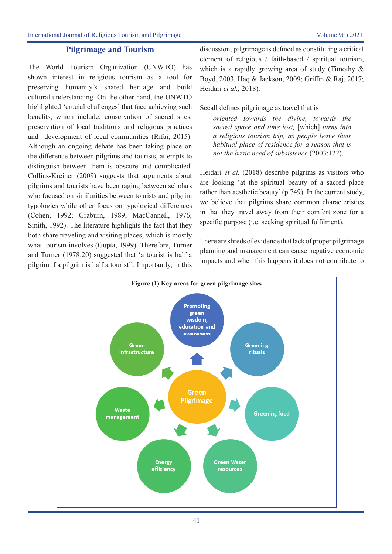#### **Pilgrimage and Tourism**

The World Tourism Organization (UNWTO) has shown interest in religious tourism as a tool for preserving humanity's shared heritage and build cultural understanding. On the other hand, the UNWTO highlighted 'crucial challenges' that face achieving such benefits, which include: conservation of sacred sites, preservation of local traditions and religious practices and development of local communities (Rifai, 2015). Although an ongoing debate has been taking place on the difference between pilgrims and tourists, attempts to distinguish between them is obscure and complicated. Collins-Kreiner (2009) suggests that arguments about pilgrims and tourists have been raging between scholars who focused on similarities between tourists and pilgrim typologies while other focus on typological differences (Cohen, 1992; Graburn, 1989; MacCannell, 1976; Smith, 1992). The literature highlights the fact that they both share traveling and visiting places, which is mostly what tourism involves (Gupta, 1999). Therefore, Turner and Turner (1978:20) suggested that 'a tourist is half a pilgrim if a pilgrim is half a tourist''. Importantly, in this

discussion, pilgrimage is defined as constituting a critical element of religious / faith-based / spiritual tourism, which is a rapidly growing area of study (Timothy & Boyd, 2003, Haq & Jackson, 2009; Griffin & Raj, 2017; Heidari *et al.,* 2018).

Secall defines pilgrimage as travel that is

*oriented towards the divine, towards the sacred space and time lost,* [which] *turns into a religious tourism trip, as people leave their habitual place of residence for a reason that is not the basic need of subsistence* (2003:122).

Heidari *et al.* (2018) describe pilgrims as visitors who are looking 'at the spiritual beauty of a sacred place rather than aesthetic beauty' (p.749). In the current study, we believe that pilgrims share common characteristics in that they travel away from their comfort zone for a specific purpose (i.e. seeking spiritual fulfilment).

There are shreds of evidence that lack of proper pilgrimage planning and management can cause negative economic impacts and when this happens it does not contribute to

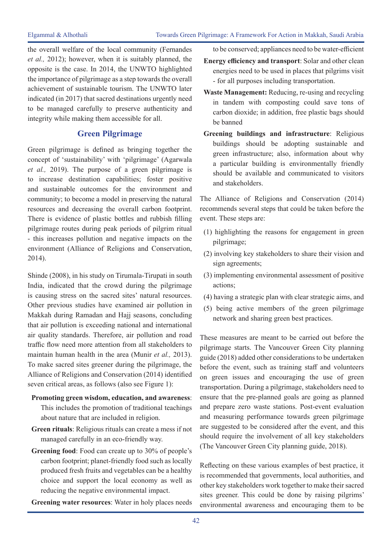the overall welfare of the local community (Fernandes *et al.,* 2012); however, when it is suitably planned, the opposite is the case. In 2014, the UNWTO highlighted the importance of pilgrimage as a step towards the overall achievement of sustainable tourism. The UNWTO later indicated (in 2017) that sacred destinations urgently need to be managed carefully to preserve authenticity and integrity while making them accessible for all.

# **Green Pilgrimage**

Green pilgrimage is defined as bringing together the concept of 'sustainability' with 'pilgrimage' (Agarwala *et al.,* 2019). The purpose of a green pilgrimage is to increase destination capabilities; foster positive and sustainable outcomes for the environment and community; to become a model in preserving the natural resources and decreasing the overall carbon footprint. There is evidence of plastic bottles and rubbish filling pilgrimage routes during peak periods of pilgrim ritual - this increases pollution and negative impacts on the environment (Alliance of Religions and Conservation, 2014).

Shinde (2008), in his study on Tirumala-Tirupati in south India, indicated that the crowd during the pilgrimage is causing stress on the sacred sites' natural resources. Other previous studies have examined air pollution in Makkah during Ramadan and Hajj seasons, concluding that air pollution is exceeding national and international air quality standards. Therefore, air pollution and road traffic flow need more attention from all stakeholders to maintain human health in the area (Munir *et al.,* 2013). To make sacred sites greener during the pilgrimage, the Alliance of Religions and Conservation (2014) identified seven critical areas, as follows (also see Figure 1):

## **Promoting green wisdom, education, and awareness**: This includes the promotion of traditional teachings about nature that are included in religion.

- **Green rituals**: Religious rituals can create a mess if not managed carefully in an eco-friendly way.
- **Greening food**: Food can create up to 30% of people's carbon footprint; planet-friendly food such as locally produced fresh fruits and vegetables can be a healthy choice and support the local economy as well as reducing the negative environmental impact.

**Greening water resources**: Water in holy places needs

to be conserved; appliances need to be water-efficient

- **Energy efficiency and transport**: Solar and other clean energies need to be used in places that pilgrims visit - for all purposes including transportation.
- **Waste Management:** Reducing, re-using and recycling in tandem with composting could save tons of carbon dioxide; in addition, free plastic bags should be banned
- **Greening buildings and infrastructure**: Religious buildings should be adopting sustainable and green infrastructure; also, information about why a particular building is environmentally friendly should be available and communicated to visitors and stakeholders.

The Alliance of Religions and Conservation (2014) recommends several steps that could be taken before the event. These steps are:

- (1) highlighting the reasons for engagement in green pilgrimage;
- (2) involving key stakeholders to share their vision and sign agreements;
- (3) implementing environmental assessment of positive actions;
- (4) having a strategic plan with clear strategic aims, and
- (5) being active members of the green pilgrimage network and sharing green best practices.

These measures are meant to be carried out before the pilgrimage starts. The Vancouver Green City planning guide (2018) added other considerations to be undertaken before the event, such as training staff and volunteers on green issues and encouraging the use of green transportation. During a pilgrimage, stakeholders need to ensure that the pre-planned goals are going as planned and prepare zero waste stations. Post-event evaluation and measuring performance towards green pilgrimage are suggested to be considered after the event, and this should require the involvement of all key stakeholders (The Vancouver Green City planning guide, 2018).

Reflecting on these various examples of best practice, it is recommended that governments, local authorities, and other key stakeholders work together to make their sacred sites greener. This could be done by raising pilgrims' environmental awareness and encouraging them to be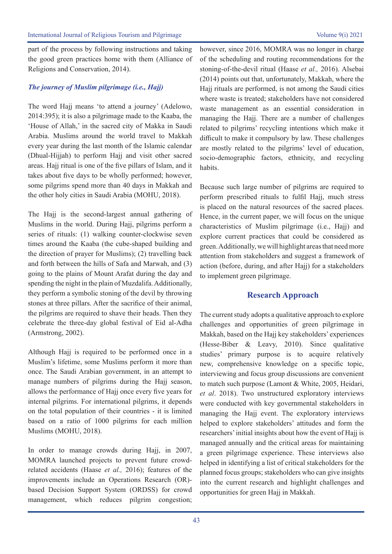part of the process by following instructions and taking the good green practices home with them (Alliance of Religions and Conservation, 2014).

#### *The journey of Muslim pilgrimage (i.e., Hajj)*

The word Hajj means 'to attend a journey' (Adelowo, 2014:395); it is also a pilgrimage made to the Kaaba, the 'House of Allah,' in the sacred city of Makka in Saudi Arabia. Muslims around the world travel to Makkah every year during the last month of the Islamic calendar (Dhual-Hijjah) to perform Hajj and visit other sacred areas. Hajj ritual is one of the five pillars of Islam, and it takes about five days to be wholly performed; however, some pilgrims spend more than 40 days in Makkah and the other holy cities in Saudi Arabia (MOHU, 2018).

The Hajj is the second-largest annual gathering of Muslims in the world. During Hajj, pilgrims perform a series of rituals: (1) walking counter-clockwise seven times around the Kaaba (the cube-shaped building and the direction of prayer for Muslims); (2) travelling back and forth between the hills of Safa and Marwah, and (3) going to the plains of Mount Arafat during the day and spending the night in the plain of Muzdalifa. Additionally, they perform a symbolic stoning of the devil by throwing stones at three pillars. After the sacrifice of their animal, the pilgrims are required to shave their heads. Then they celebrate the three-day global festival of Eid al-Adha (Armstrong, 2002).

Although Hajj is required to be performed once in a Muslim's lifetime, some Muslims perform it more than once. The Saudi Arabian government, in an attempt to manage numbers of pilgrims during the Hajj season, allows the performance of Hajj once every five years for internal pilgrims. For international pilgrims, it depends on the total population of their countries - it is limited based on a ratio of 1000 pilgrims for each million Muslims (MOHU, 2018).

In order to manage crowds during Haji, in 2007, MOMRA launched projects to prevent future crowdrelated accidents (Haase *et al.,* 2016); features of the improvements include an Operations Research (OR) based Decision Support System (ORDSS) for crowd management, which reduces pilgrim congestion;

however, since 2016, MOMRA was no longer in charge of the scheduling and routing recommendations for the stoning-of-the-devil ritual (Haase *et al.,* 2016). Alsebai (2014) points out that, unfortunately, Makkah, where the Hajj rituals are performed, is not among the Saudi cities where waste is treated; stakeholders have not considered waste management as an essential consideration in managing the Hajj. There are a number of challenges related to pilgrims' recycling intentions which make it difficult to make it compulsory by law. These challenges are mostly related to the pilgrims' level of education, socio-demographic factors, ethnicity, and recycling habits.

Because such large number of pilgrims are required to perform prescribed rituals to fulfil Hajj, much stress is placed on the natural resources of the sacred places. Hence, in the current paper, we will focus on the unique characteristics of Muslim pilgrimage (i.e., Hajj) and explore current practices that could be considered as green. Additionally, we will highlight areas that need more attention from stakeholders and suggest a framework of action (before, during, and after Hajj) for a stakeholders to implement green pilgrimage.

### **Research Approach**

The current study adopts a qualitative approach to explore challenges and opportunities of green pilgrimage in Makkah, based on the Hajj key stakeholders' experiences (Hesse-Biber & Leavy, 2010). Since qualitative studies' primary purpose is to acquire relatively new, comprehensive knowledge on a specific topic, interviewing and focus group discussions are convenient to match such purpose (Lamont & White, 2005, Heidari, *et al*. 2018). Two unstructured exploratory interviews were conducted with key governmental stakeholders in managing the Hajj event. The exploratory interviews helped to explore stakeholders' attitudes and form the researchers' initial insights about how the event of Hajj is managed annually and the critical areas for maintaining a green pilgrimage experience. These interviews also helped in identifying a list of critical stakeholders for the planned focus groups; stakeholders who can give insights into the current research and highlight challenges and opportunities for green Hajj in Makkah.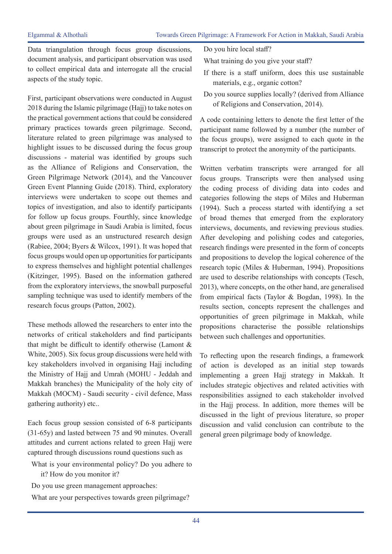Data triangulation through focus group discussions, document analysis, and participant observation was used to collect empirical data and interrogate all the crucial aspects of the study topic.

First, participant observations were conducted in August 2018 during the Islamic pilgrimage (Hajj) to take notes on the practical government actions that could be considered primary practices towards green pilgrimage. Second, literature related to green pilgrimage was analysed to highlight issues to be discussed during the focus group discussions - material was identified by groups such as the Alliance of Religions and Conservation, the Green Pilgrimage Network (2014), and the Vancouver Green Event Planning Guide (2018). Third, exploratory interviews were undertaken to scope out themes and topics of investigation, and also to identify participants for follow up focus groups. Fourthly, since knowledge about green pilgrimage in Saudi Arabia is limited, focus groups were used as an unstructured research design (Rabiee, 2004; Byers & Wilcox, 1991). It was hoped that focus groups would open up opportunities for participants to express themselves and highlight potential challenges (Kitzinger, 1995). Based on the information gathered from the exploratory interviews, the snowball purposeful sampling technique was used to identify members of the research focus groups (Patton, 2002).

These methods allowed the researchers to enter into the networks of critical stakeholders and find participants that might be difficult to identify otherwise (Lamont & White, 2005). Six focus group discussions were held with key stakeholders involved in organising Hajj including the Ministry of Hajj and Umrah (MOHU - Jeddah and Makkah branches) the Municipality of the holy city of Makkah (MOCM) - Saudi security - civil defence, Mass gathering authority) etc..

Each focus group session consisted of 6-8 participants (31-65y) and lasted between 75 and 90 minutes. Overall attitudes and current actions related to green Hajj were captured through discussions round questions such as

- What is your environmental policy? Do you adhere to it? How do you monitor it?
- Do you use green management approaches:
- What are your perspectives towards green pilgrimage?

Do you hire local staff?

- What training do you give your staff?
- If there is a staff uniform, does this use sustainable materials, e.g., organic cotton?
- Do you source supplies locally? (derived from Alliance of Religions and Conservation, 2014).

A code containing letters to denote the first letter of the participant name followed by a number (the number of the focus groups), were assigned to each quote in the transcript to protect the anonymity of the participants.

Written verbatim transcripts were arranged for all focus groups. Transcripts were then analysed using the coding process of dividing data into codes and categories following the steps of Miles and Huberman (1994). Such a process started with identifying a set of broad themes that emerged from the exploratory interviews, documents, and reviewing previous studies. After developing and polishing codes and categories, research findings were presented in the form of concepts and propositions to develop the logical coherence of the research topic (Miles & Huberman, 1994). Propositions are used to describe relationships with concepts (Tesch, 2013), where concepts, on the other hand, are generalised from empirical facts (Taylor & Bogdan, 1998). In the results section, concepts represent the challenges and opportunities of green pilgrimage in Makkah, while propositions characterise the possible relationships between such challenges and opportunities.

To reflecting upon the research findings, a framework of action is developed as an initial step towards implementing a green Hajj strategy in Makkah. It includes strategic objectives and related activities with responsibilities assigned to each stakeholder involved in the Hajj process. In addition, more themes will be discussed in the light of previous literature, so proper discussion and valid conclusion can contribute to the general green pilgrimage body of knowledge.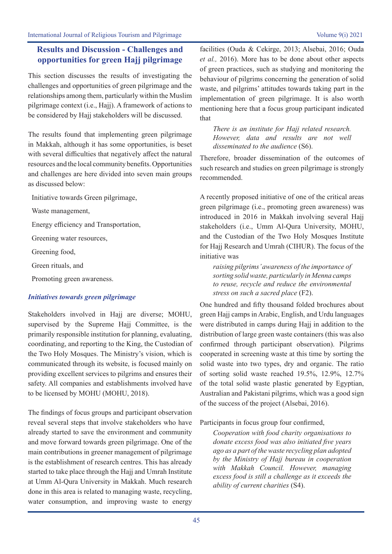# **Results and Discussion - Challenges and opportunities for green Hajj pilgrimage**

This section discusses the results of investigating the challenges and opportunities of green pilgrimage and the relationships among them, particularly within the Muslim pilgrimage context (i.e., Hajj). A framework of actions to be considered by Hajj stakeholders will be discussed.

The results found that implementing green pilgrimage in Makkah, although it has some opportunities, is beset with several difficulties that negatively affect the natural resources and the local community benefits. Opportunities and challenges are here divided into seven main groups as discussed below:

Initiative towards Green pilgrimage,

Waste management,

Energy efficiency and Transportation,

Greening water resources,

Greening food,

Green rituals, and

Promoting green awareness.

### *Initiatives towards green pilgrimage*

Stakeholders involved in Hajj are diverse; MOHU, supervised by the Supreme Hajj Committee, is the primarily responsible institution for planning, evaluating, coordinating, and reporting to the King, the Custodian of the Two Holy Mosques. The Ministry's vision, which is communicated through its website, is focused mainly on providing excellent services to pilgrims and ensures their safety. All companies and establishments involved have to be licensed by MOHU (MOHU, 2018).

The findings of focus groups and participant observation reveal several steps that involve stakeholders who have already started to save the environment and community and move forward towards green pilgrimage. One of the main contributions in greener management of pilgrimage is the establishment of research centres. This has already started to take place through the Hajj and Umrah Institute at Umm Al-Qura University in Makkah. Much research done in this area is related to managing waste, recycling, water consumption, and improving waste to energy facilities (Ouda & Cekirge, 2013; Alsebai, 2016; Ouda *et al.,* 2016). More has to be done about other aspects of green practices, such as studying and monitoring the behaviour of pilgrims concerning the generation of solid waste, and pilgrims' attitudes towards taking part in the implementation of green pilgrimage. It is also worth mentioning here that a focus group participant indicated that

*There is an institute for Hajj related research. However, data and results are not well disseminated to the audience* (S6).

Therefore, broader dissemination of the outcomes of such research and studies on green pilgrimage is strongly recommended.

A recently proposed initiative of one of the critical areas green pilgrimage (i.e., promoting green awareness) was introduced in 2016 in Makkah involving several Hajj stakeholders (i.e., Umm Al-Qura University, MOHU, and the Custodian of the Two Holy Mosques Institute for Hajj Research and Umrah (CIHUR). The focus of the initiative was

*raising pilgrims' awareness of the importance of sorting solid waste, particularly in Menna camps to reuse, recycle and reduce the environmental stress on such a sacred place* (F2).

One hundred and fifty thousand folded brochures about green Hajj camps in Arabic, English, and Urdu languages were distributed in camps during Hajj in addition to the distribution of large green waste containers (this was also confirmed through participant observation). Pilgrims cooperated in screening waste at this time by sorting the solid waste into two types, dry and organic. The ratio of sorting solid waste reached 19.5%, 12.9%, 12.7% of the total solid waste plastic generated by Egyptian, Australian and Pakistani pilgrims, which was a good sign of the success of the project (Alsebai, 2016).

Participants in focus group four confirmed,

*Cooperation with food charity organisations to donate excess food was also initiated five years ago as a part of the waste recycling plan adopted by the Ministry of Hajj bureau in cooperation with Makkah Council. However, managing excess food is still a challenge as it exceeds the ability of current charities* (S4).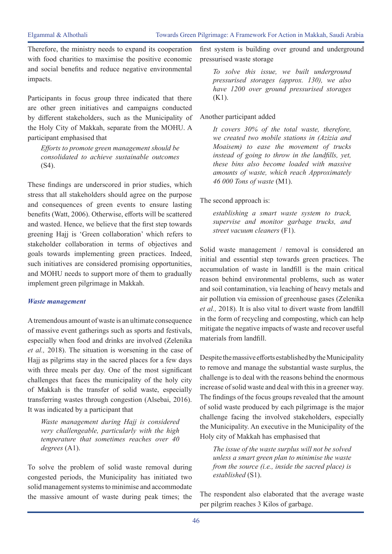Therefore, the ministry needs to expand its cooperation with food charities to maximise the positive economic and social benefits and reduce negative environmental impacts.

Participants in focus group three indicated that there are other green initiatives and campaigns conducted by different stakeholders, such as the Municipality of the Holy City of Makkah, separate from the MOHU. A participant emphasised that

*Efforts to promote green management should be consolidated to achieve sustainable outcomes*  (S4).

These findings are underscored in prior studies, which stress that all stakeholders should agree on the purpose and consequences of green events to ensure lasting benefits (Watt, 2006). Otherwise, efforts will be scattered and wasted. Hence, we believe that the first step towards greening Hajj is 'Green collaboration' which refers to stakeholder collaboration in terms of objectives and goals towards implementing green practices. Indeed, such initiatives are considered promising opportunities, and MOHU needs to support more of them to gradually implement green pilgrimage in Makkah.

#### *Waste management*

A tremendous amount of waste is an ultimate consequence of massive event gatherings such as sports and festivals, especially when food and drinks are involved (Zelenika *et al.,* 2018). The situation is worsening in the case of Hajj as pilgrims stay in the sacred places for a few days with three meals per day. One of the most significant challenges that faces the municipality of the holy city of Makkah is the transfer of solid waste, especially transferring wastes through congestion (Alsebai, 2016). It was indicated by a participant that

*Waste management during Hajj is considered very challengeable, particularly with the high temperature that sometimes reaches over 40 degrees* (A1).

To solve the problem of solid waste removal during congested periods, the Municipality has initiated two solid management systems to minimise and accommodate the massive amount of waste during peak times; the first system is building over ground and underground pressurised waste storage

*To solve this issue, we built underground pressurised storages (approx. 130), we also have 1200 over ground pressurised storages*  (K1).

#### Another participant added

*It covers 30% of the total waste, therefore, we created two mobile stations in (Azizia and Moaisem) to ease the movement of trucks instead of going to throw in the landfills, yet, these bins also become loaded with massive amounts of waste, which reach Approximately 46 000 Tons of waste* (M1).

The second approach is:

*establishing a smart waste system to track, supervise and monitor garbage trucks, and street vacuum cleaners* (F1).

Solid waste management / removal is considered an initial and essential step towards green practices. The accumulation of waste in landfill is the main critical reason behind environmental problems, such as water and soil contamination, via leaching of heavy metals and air pollution via emission of greenhouse gases (Zelenika *et al.,* 2018). It is also vital to divert waste from landfill in the form of recycling and composting, which can help mitigate the negative impacts of waste and recover useful materials from landfill.

Despite the massive efforts established by the Municipality to remove and manage the substantial waste surplus, the challenge is to deal with the reasons behind the enormous increase of solid waste and deal with this in a greener way. The findings of the focus groups revealed that the amount of solid waste produced by each pilgrimage is the major challenge facing the involved stakeholders, especially the Municipality. An executive in the Municipality of the Holy city of Makkah has emphasised that

*The issue of the waste surplus will not be solved unless a smart green plan to minimise the waste from the source (i.e., inside the sacred place) is established* (S1).

The respondent also elaborated that the average waste per pilgrim reaches 3 Kilos of garbage.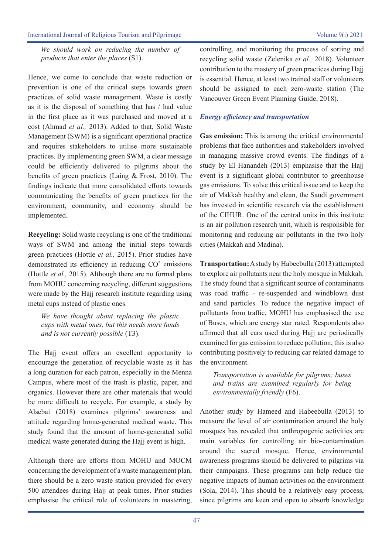#### International Journal of Religious Tourism and Pilgrimage Volume 9(i) 2021

*We should work on reducing the number of products that enter the places* (S1).

Hence, we come to conclude that waste reduction or prevention is one of the critical steps towards green practices of solid waste management. Waste is costly as it is the disposal of something that has / had value in the first place as it was purchased and moved at a cost (Ahmad *et al.,* 2013). Added to that, Solid Waste Management (SWM) is a significant operational practice and requires stakeholders to utilise more sustainable practices. By implementing green SWM, a clear message could be efficiently delivered to pilgrims about the benefits of green practices (Laing & Frost, 2010). The findings indicate that more consolidated efforts towards communicating the benefits of green practices for the environment, community, and economy should be implemented.

**Recycling:** Solid waste recycling is one of the traditional ways of SWM and among the initial steps towards green practices (Hottle *et al.,* 2015). Prior studies have demonstrated its efficiency in reducing  $CO<sup>2</sup>$  emissions (Hottle *et al.,* 2015). Although there are no formal plans from MOHU concerning recycling, different suggestions were made by the Hajj research institute regarding using metal cups instead of plastic ones.

*We have thought about replacing the plastic cups with metal ones, but this needs more funds and is not currently possible* (T3).

The Hajj event offers an excellent opportunity to encourage the generation of recyclable waste as it has a long duration for each patron, especially in the Menna Campus, where most of the trash is plastic, paper, and organics. However there are other materials that would be more difficult to recycle. For example, a study by Alsebai (2018) examines pilgrims' awareness and attitude regarding home-generated medical waste. This study found that the amount of home-generated solid medical waste generated during the Hajj event is high.

Although there are efforts from MOHU and MOCM concerning the development of a waste management plan, there should be a zero waste station provided for every 500 attendees during Hajj at peak times. Prior studies emphasise the critical role of volunteers in mastering,

controlling, and monitoring the process of sorting and recycling solid waste (Zelenika *et al.,* 2018). Volunteer contribution to the mastery of green practices during Hajj is essential. Hence, at least two trained staff or volunteers should be assigned to each zero-waste station (The Vancouver Green Event Planning Guide, 2018).

#### *Energy efficiency and transportation*

**Gas emission:** This is among the critical environmental problems that face authorities and stakeholders involved in managing massive crowd events. The findings of a study by El Hanandeh (2013) emphasise that the Hajj event is a significant global contributor to greenhouse gas emissions. To solve this critical issue and to keep the air of Makkah healthy and clean, the Saudi government has invested in scientific research via the establishment of the CIHUR. One of the central units in this institute is an air pollution research unit, which is responsible for monitoring and reducing air pollutants in the two holy cities (Makkah and Madina).

**Transportation:** A study by Habeebulla (2013) attempted to explore air pollutants near the holy mosque in Makkah. The study found that a significant source of contaminants was road traffic - re-suspended and windblown dust and sand particles. To reduce the negative impact of pollutants from traffic, MOHU has emphasised the use of Buses, which are energy star rated. Respondents also affirmed that all cars used during Hajj are periodically examined for gas emission to reduce pollution; this is also contributing positively to reducing car related damage to the environment.

*Transportation is available for pilgrims; buses and trains are examined regularly for being environmentally friendly* (F6).

Another study by Hameed and Habeebulla (2013) to measure the level of air contamination around the holy mosques has revealed that anthropogenic activities are main variables for controlling air bio-contamination around the sacred mosque. Hence, environmental awareness programs should be delivered to pilgrims via their campaigns. These programs can help reduce the negative impacts of human activities on the environment (Sola, 2014). This should be a relatively easy process, since pilgrims are keen and open to absorb knowledge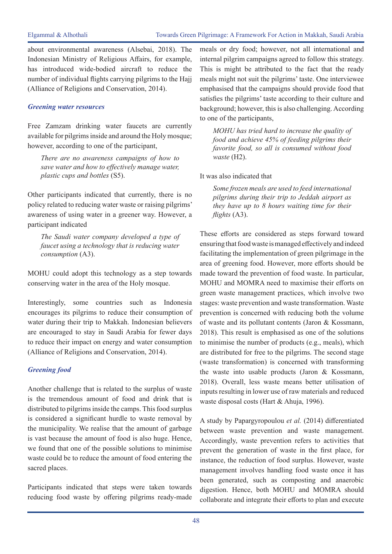about environmental awareness (Alsebai, 2018). The Indonesian Ministry of Religious Affairs, for example, has introduced wide-bodied aircraft to reduce the number of individual flights carrying pilgrims to the Hajj (Alliance of Religions and Conservation, 2014).

#### *Greening water resources*

Free Zamzam drinking water faucets are currently available for pilgrims inside and around the Holy mosque; however, according to one of the participant,

*There are no awareness campaigns of how to save water and how to effectively manage water, plastic cups and bottles* (S5).

Other participants indicated that currently, there is no policy related to reducing water waste or raising pilgrims' awareness of using water in a greener way. However, a participant indicated

*The Saudi water company developed a type of faucet using a technology that is reducing water consumption* (A3).

MOHU could adopt this technology as a step towards conserving water in the area of the Holy mosque.

Interestingly, some countries such as Indonesia encourages its pilgrims to reduce their consumption of water during their trip to Makkah. Indonesian believers are encouraged to stay in Saudi Arabia for fewer days to reduce their impact on energy and water consumption (Alliance of Religions and Conservation, 2014).

### *Greening food*

Another challenge that is related to the surplus of waste is the tremendous amount of food and drink that is distributed to pilgrims inside the camps. This food surplus is considered a significant hurdle to waste removal by the municipality. We realise that the amount of garbage is vast because the amount of food is also huge. Hence, we found that one of the possible solutions to minimise waste could be to reduce the amount of food entering the sacred places.

Participants indicated that steps were taken towards reducing food waste by offering pilgrims ready-made

meals or dry food; however, not all international and internal pilgrim campaigns agreed to follow this strategy. This is might be attributed to the fact that the ready meals might not suit the pilgrims' taste. One interviewee emphasised that the campaigns should provide food that satisfies the pilgrims' taste according to their culture and background; however, this is also challenging. According to one of the participants,

*MOHU has tried hard to increase the quality of food and achieve 45% of feeding pilgrims their favorite food, so all is consumed without food waste* (H2).

It was also indicated that

*Some frozen meals are used to feed international pilgrims during their trip to Jeddah airport as they have up to 8 hours waiting time for their flights* (A3).

These efforts are considered as steps forward toward ensuring that food waste is managed effectively and indeed facilitating the implementation of green pilgrimage in the area of greening food. However, more efforts should be made toward the prevention of food waste. In particular, MOHU and MOMRA need to maximise their efforts on green waste management practices, which involve two stages: waste prevention and waste transformation. Waste prevention is concerned with reducing both the volume of waste and its pollutant contents (Jaron & Kossmann, 2018). This result is emphasised as one of the solutions to minimise the number of products (e.g., meals), which are distributed for free to the pilgrims. The second stage (waste transformation) is concerned with transforming the waste into usable products (Jaron & Kossmann, 2018). Overall, less waste means better utilisation of inputs resulting in lower use of raw materials and reduced waste disposal costs (Hart & Ahuja, 1996).

A study by Papargyropoulou *et al.* (2014) differentiated between waste prevention and waste management. Accordingly, waste prevention refers to activities that prevent the generation of waste in the first place, for instance, the reduction of food surplus. However, waste management involves handling food waste once it has been generated, such as composting and anaerobic digestion. Hence, both MOHU and MOMRA should collaborate and integrate their efforts to plan and execute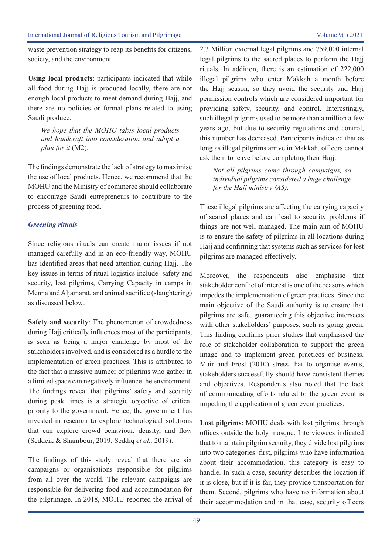waste prevention strategy to reap its benefits for citizens, society, and the environment.

**Using local products**: participants indicated that while all food during Hajj is produced locally, there are not enough local products to meet demand during Hajj, and there are no policies or formal plans related to using Saudi produce.

*We hope that the MOHU takes local products and handcraft into consideration and adopt a plan for it* (M2).

The findings demonstrate the lack of strategy to maximise the use of local products. Hence, we recommend that the MOHU and the Ministry of commerce should collaborate to encourage Saudi entrepreneurs to contribute to the process of greening food.

#### *Greening rituals*

Since religious rituals can create major issues if not managed carefully and in an eco-friendly way, MOHU has identified areas that need attention during Hajj. The key issues in terms of ritual logistics include safety and security, lost pilgrims, Carrying Capacity in camps in Menna and Aljamarat, and animal sacrifice (slaughtering) as discussed below:

**Safety and security**: The phenomenon of crowdedness during Hajj critically influences most of the participants, is seen as being a major challenge by most of the stakeholders involved, and is considered as a hurdle to the implementation of green practices. This is attributed to the fact that a massive number of pilgrims who gather in a limited space can negatively influence the environment. The findings reveal that pilgrims' safety and security during peak times is a strategic objective of critical priority to the government. Hence, the government has invested in research to explore technological solutions that can explore crowd behaviour, density, and flow (Seddeik & Shambour, 2019; Seddiq *et al.,* 2019).

The findings of this study reveal that there are six campaigns or organisations responsible for pilgrims from all over the world. The relevant campaigns are responsible for delivering food and accommodation for the pilgrimage. In 2018, MOHU reported the arrival of 2.3 Million external legal pilgrims and 759,000 internal legal pilgrims to the sacred places to perform the Hajj rituals. In addition, there is an estimation of 222,000 illegal pilgrims who enter Makkah a month before the Hajj season, so they avoid the security and Hajj permission controls which are considered important for providing safety, security, and control. Interestingly, such illegal pilgrims used to be more than a million a few years ago, but due to security regulations and control, this number has decreased. Participants indicated that as long as illegal pilgrims arrive in Makkah, officers cannot ask them to leave before completing their Hajj.

*Not all pilgrims come through campaigns, so individual pilgrims considered a huge challenge for the Hajj ministry (A5).* 

These illegal pilgrims are affecting the carrying capacity of scared places and can lead to security problems if things are not well managed. The main aim of MOHU is to ensure the safety of pilgrims in all locations during Hajj and confirming that systems such as services for lost pilgrims are managed effectively.

Moreover, the respondents also emphasise that stakeholder conflict of interest is one of the reasons which impedes the implementation of green practices. Since the main objective of the Saudi authority is to ensure that pilgrims are safe, guaranteeing this objective intersects with other stakeholders' purposes, such as going green. This finding confirms prior studies that emphasised the role of stakeholder collaboration to support the green image and to implement green practices of business. Mair and Frost (2010) stress that to organise events, stakeholders successfully should have consistent themes and objectives. Respondents also noted that the lack of communicating efforts related to the green event is impeding the application of green event practices.

**Lost pilgrims**: MOHU deals with lost pilgrims through offices outside the holy mosque. Interviewees indicated that to maintain pilgrim security, they divide lost pilgrims into two categories: first, pilgrims who have information about their accommodation, this category is easy to handle. In such a case, security describes the location if it is close, but if it is far, they provide transportation for them. Second, pilgrims who have no information about their accommodation and in that case, security officers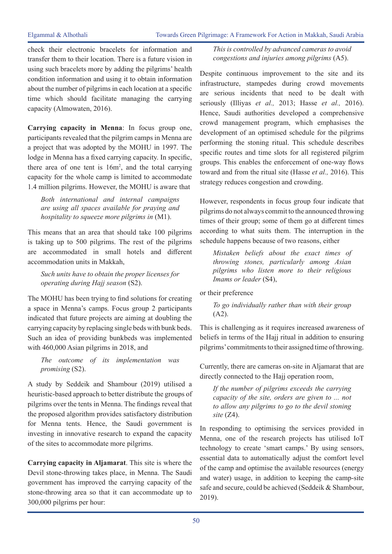check their electronic bracelets for information and transfer them to their location. There is a future vision in using such bracelets more by adding the pilgrims' health condition information and using it to obtain information about the number of pilgrims in each location at a specific time which should facilitate managing the carrying capacity (Almowaten, 2016).

**Carrying capacity in Menna**: In focus group one, participants revealed that the pilgrim camps in Menna are a project that was adopted by the MOHU in 1997. The lodge in Menna has a fixed carrying capacity. In specific, there area of one tent is  $16m^2$ , and the total carrying capacity for the whole camp is limited to accommodate 1.4 million pilgrims. However, the MOHU is aware that

*Both international and internal campaigns are using all spaces available for praying and hospitality to squeeze more pilgrims in* (M1).

This means that an area that should take 100 pilgrims is taking up to 500 pilgrims. The rest of the pilgrims are accommodated in small hotels and different accommodation units in Makkah,

*Such units have to obtain the proper licenses for operating during Hajj season* (S2).

The MOHU has been trying to find solutions for creating a space in Menna's camps. Focus group 2 participants indicated that future projects are aiming at doubling the carrying capacity by replacing single beds with bunk beds. Such an idea of providing bunkbeds was implemented with 460,000 Asian pilgrims in 2018, and

*The outcome of its implementation was promising* (S2).

A study by Seddeik and Shambour (2019) utilised a heuristic-based approach to better distribute the groups of pilgrims over the tents in Menna. The findings reveal that the proposed algorithm provides satisfactory distribution for Menna tents. Hence, the Saudi government is investing in innovative research to expand the capacity of the sites to accommodate more pilgrims.

**Carrying capacity in Aljamarat**. This site is where the Devil stone-throwing takes place, in Menna. The Saudi government has improved the carrying capacity of the stone-throwing area so that it can accommodate up to 300,000 pilgrims per hour:

*This is controlled by advanced cameras to avoid congestions and injuries among pilgrims* (A5).

Despite continuous improvement to the site and its infrastructure, stampedes during crowd movements are serious incidents that need to be dealt with seriously (Illiyas *et al.,* 2013; Hasse *et al.,* 2016). Hence, Saudi authorities developed a comprehensive crowd management program, which emphasises the development of an optimised schedule for the pilgrims performing the stoning ritual. This schedule describes specific routes and time slots for all registered pilgrim groups. This enables the enforcement of one-way flows toward and from the ritual site (Hasse *et al.,* 2016). This strategy reduces congestion and crowding.

However, respondents in focus group four indicate that pilgrims do not always commit to the announced throwing times of their group; some of them go at different times according to what suits them. The interruption in the schedule happens because of two reasons, either

*Mistaken beliefs about the exact times of throwing stones, particularly among Asian pilgrims who listen more to their religious Imams or leader* (S4),

or their preference

*To go individually rather than with their group*  (A2).

This is challenging as it requires increased awareness of beliefs in terms of the Hajj ritual in addition to ensuring pilgrims' commitments to their assigned time of throwing.

Currently, there are cameras on-site in Aljamarat that are directly connected to the Hajj operation room,

*If the number of pilgrims exceeds the carrying capacity of the site, orders are given to ... not to allow any pilgrims to go to the devil stoning site* (Z4).

In responding to optimising the services provided in Menna, one of the research projects has utilised IoT technology to create 'smart camps.' By using sensors, essential data to automatically adjust the comfort level of the camp and optimise the available resources (energy and water) usage, in addition to keeping the camp-site safe and secure, could be achieved (Seddeik & Shambour, 2019).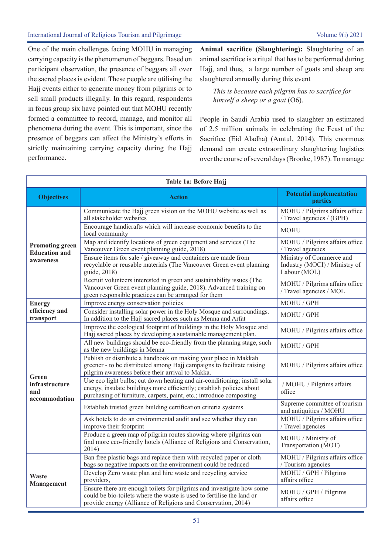One of the main challenges facing MOHU in managing carrying capacity is the phenomenon of beggars. Based on participant observation, the presence of beggars all over the sacred places is evident. These people are utilising the Hajj events either to generate money from pilgrims or to sell small products illegally. In this regard, respondents in focus group six have pointed out that MOHU recently formed a committee to record, manage, and monitor all phenomena during the event. This is important, since the presence of beggars can affect the Ministry's efforts in strictly maintaining carrying capacity during the Hajj performance.

**Animal sacrifice (Slaughtering):** Slaughtering of an animal sacrifice is a ritual that has to be performed during Hajj, and thus, a large number of goats and sheep are slaughtered annually during this event

*This is because each pilgrim has to sacrifice for himself a sheep or a goat* (O6).

People in Saudi Arabia used to slaughter an estimated of 2.5 million animals in celebrating the Feast of the Sacrifice (Eid Aladha) (Amtul, 2014). This enormous demand can create extraordinary slaughtering logistics over the course of several days (Brooke, 1987). To manage

| Table 1a: Before Hajj                                       |                                                                                                                                                                                                                           |                                                                           |  |  |  |
|-------------------------------------------------------------|---------------------------------------------------------------------------------------------------------------------------------------------------------------------------------------------------------------------------|---------------------------------------------------------------------------|--|--|--|
| <b>Objectives</b>                                           | <b>Action</b>                                                                                                                                                                                                             | <b>Potential implementation</b><br><b>parties</b>                         |  |  |  |
| <b>Promoting green</b><br><b>Education and</b><br>awareness | Communicate the Hajj green vision on the MOHU website as well as<br>all stakeholder websites                                                                                                                              | MOHU / Pilgrims affairs office<br>/ Travel agencies / (GPH)               |  |  |  |
|                                                             | Encourage handicrafts which will increase economic benefits to the<br>local community                                                                                                                                     | <b>MOHU</b>                                                               |  |  |  |
|                                                             | Map and identify locations of green equipment and services (The<br>Vancouver Green event planning guide, 2018)                                                                                                            | MOHU / Pilgrims affairs office<br>/ Travel agencies                       |  |  |  |
|                                                             | Ensure items for sale / giveaway and containers are made from<br>recyclable or reusable materials (The Vancouver Green event planning<br>guide, 2018)                                                                     | Ministry of Commerce and<br>Industry (MOCI) / Ministry of<br>Labour (MOL) |  |  |  |
|                                                             | Recruit volunteers interested in green and sustainability issues (The<br>Vancouver Green event planning guide, 2018). Advanced training on<br>green responsible practices can be arranged for them                        | MOHU / Pilgrims affairs office<br>/ Travel agencies / MOL                 |  |  |  |
| <b>Energy</b>                                               | Improve energy conservation policies                                                                                                                                                                                      | MOHU / GPH                                                                |  |  |  |
| efficiency and<br>transport                                 | Consider installing solar power in the Holy Mosque and surroundings.<br>In addition to the Hajj sacred places such as Menna and Arfat                                                                                     | MOHU / GPH                                                                |  |  |  |
| Green<br>infrastructure<br>and<br>accommodation             | Improve the ecological footprint of buildings in the Holy Mosque and<br>Hajj sacred places by developing a sustainable management plan.                                                                                   | MOHU / Pilgrims affairs office                                            |  |  |  |
|                                                             | All new buildings should be eco-friendly from the planning stage, such<br>as the new buildings in Menna                                                                                                                   | MOHU / GPH                                                                |  |  |  |
|                                                             | Publish or distribute a handbook on making your place in Makkah<br>greener - to be distributed among Hajj campaigns to facilitate raising<br>pilgrim awareness before their arrival to Makka.                             | MOHU / Pilgrims affairs office                                            |  |  |  |
|                                                             | Use eco light bulbs; cut down heating and air-conditioning; install solar<br>energy, insulate buildings more efficiently; establish policies about<br>purchasing of furniture, carpets, paint, etc.; introduce composting | / MOHU / Pilgrims affairs<br>office                                       |  |  |  |
|                                                             | Establish trusted green building certification criteria systems                                                                                                                                                           | Supreme committee of tourism<br>and antiquities / MOHU                    |  |  |  |
|                                                             | Ask hotels to do an environmental audit and see whether they can<br>improve their footprint                                                                                                                               | MOHU / Pilgrims affairs office<br>/ Travel agencies                       |  |  |  |
|                                                             | Produce a green map of pilgrim routes showing where pilgrims can<br>find more eco-friendly hotels (Alliance of Religions and Conservation,<br>2014)                                                                       | MOHU / Ministry of<br>Transportation (MOT)                                |  |  |  |
| <b>Waste</b><br>Management                                  | Ban free plastic bags and replace them with recycled paper or cloth<br>bags so negative impacts on the environment could be reduced                                                                                       | MOHU / Pilgrims affairs office<br>/ Tourism agencies                      |  |  |  |
|                                                             | Develop Zero waste plan and hire waste and recycling service<br>providers,                                                                                                                                                | MOHU / GPH / Pilgrims<br>affairs office                                   |  |  |  |
|                                                             | Ensure there are enough toilets for pilgrims and investigate how some<br>could be bio-toilets where the waste is used to fertilise the land or<br>provide energy (Alliance of Religions and Conservation, 2014)           | MOHU / GPH / Pilgrims<br>affairs office                                   |  |  |  |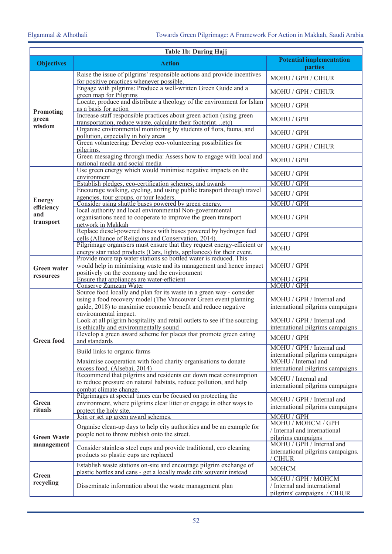| Table 1b: During Hajj            |                                                                                                                                                   |                                                               |  |  |  |
|----------------------------------|---------------------------------------------------------------------------------------------------------------------------------------------------|---------------------------------------------------------------|--|--|--|
| <b>Objectives</b>                | <b>Action</b>                                                                                                                                     | <b>Potential implementation</b><br>parties                    |  |  |  |
| Promoting<br>green<br>wisdom     | Raise the issue of pilgrims' responsible actions and provide incentives<br>for positive practices whenever possible.                              | MOHU / GPH / CIHUR                                            |  |  |  |
|                                  | Engage with pilgrims: Produce a well-written Green Guide and a<br>green map for Pilgrims                                                          | MOHU / GPH / CIHUR                                            |  |  |  |
|                                  | Locate, produce and distribute a theology of the environment for Islam<br>as a basis for action                                                   | MOHU / GPH                                                    |  |  |  |
|                                  | Increase staff responsible practices about green action (using green<br>transportation, reduce waste, calculate their footprintetc)               | MOHU / GPH                                                    |  |  |  |
|                                  | Organise environmental monitoring by students of flora, fauna, and<br>pollution, especially in holy areas                                         | MOHU / GPH                                                    |  |  |  |
|                                  | Green volunteering: Develop eco-volunteering possibilities for<br>pilgrims.                                                                       | MOHU / GPH / CIHUR                                            |  |  |  |
|                                  | Green messaging through media: Assess how to engage with local and<br>national media and social media                                             | MOHU / GPH                                                    |  |  |  |
|                                  | Use green energy which would minimise negative impacts on the<br>environment                                                                      | MOHU / GPH                                                    |  |  |  |
|                                  | Establish pledges, eco-certification schemes, and awards                                                                                          | MOHU / GPH                                                    |  |  |  |
|                                  | Encourage walking, cycling, and using public transport through travel<br>agencies, tour groups, or tour leaders.                                  | MOHU / GPH                                                    |  |  |  |
| <b>Energy</b><br>efficiency      | Consider using shuttle buses powered by green energy.                                                                                             | MOHU / GPH                                                    |  |  |  |
| and<br>transport                 | local authority and local environmental Non-governmental<br>organisations need to cooperate to improve the green transport<br>network in Makkah   | MOHU / GPH                                                    |  |  |  |
|                                  | Replace diesel-powered buses with buses powered by hydrogen fuel<br>cells (Alliance of Religions and Conservation, 2014).                         | MOHU / GPH                                                    |  |  |  |
|                                  | Pilgrimage organisers must ensure that they request energy-efficient or<br>energy star rated products (Cars, lights, appliances) for their event. | <b>MOHU</b>                                                   |  |  |  |
| <b>Green water</b><br>resources  | Provide more tap water stations so bottled water is reduced. This<br>would help in minimising waste and its management and hence impact           | MOHU / GPH                                                    |  |  |  |
|                                  | positively on the economy and the environment<br>Ensure that appliances are water-efficient                                                       | MOHU / GPH                                                    |  |  |  |
|                                  | Conserve Zamzam Water                                                                                                                             | MOHU / GPH                                                    |  |  |  |
|                                  | Source food locally and plan for its waste in a green way - consider                                                                              |                                                               |  |  |  |
|                                  | using a food recovery model (The Vancouver Green event planning                                                                                   | MOHU / GPH / Internal and                                     |  |  |  |
|                                  | guide, 2018) to maximise economic benefit and reduce negative<br>environmental impact.                                                            | international pilgrims campaigns                              |  |  |  |
|                                  | Look at all pilgrim hospitality and retail outlets to see if the sourcing                                                                         | MOHU / GPH / Internal and                                     |  |  |  |
|                                  | is ethically and environmentally sound                                                                                                            | international pilgrims campaigns                              |  |  |  |
| <b>Green food</b>                | Develop a green award scheme for places that promote green eating<br>and standards                                                                | MOHU / GPH                                                    |  |  |  |
|                                  | Build links to organic farms                                                                                                                      | MOHU / GPH / Internal and<br>international pilgrims campaigns |  |  |  |
|                                  | Maximise cooperation with food charity organisations to donate                                                                                    | MOHU / Internal and                                           |  |  |  |
|                                  | excess food. (Alsebai, 2014)<br>Recommend that pilgrims and residents cut down meat consumption                                                   | international pilgrims campaigns                              |  |  |  |
|                                  | to reduce pressure on natural habitats, reduce pollution, and help                                                                                | MOHU / Internal and                                           |  |  |  |
|                                  | combat climate change.                                                                                                                            | international pilgrims campaigns                              |  |  |  |
| Green<br>rituals                 | Pilgrimages at special times can be focused on protecting the                                                                                     | MOHU / GPH / Internal and                                     |  |  |  |
|                                  | environment, where pilgrims clear litter or engage in other ways to<br>protect the holy site.                                                     | international pilgrims campaigns                              |  |  |  |
|                                  | Join or set up green award schemes.                                                                                                               | MOHU / GPH                                                    |  |  |  |
|                                  | Organise clean-up days to help city authorities and be an example for                                                                             | MOHU / MOHCM / GPH                                            |  |  |  |
|                                  | people not to throw rubbish onto the street.                                                                                                      | / Internal and international                                  |  |  |  |
| <b>Green Waste</b><br>management |                                                                                                                                                   | pilgrims campaigns<br>MOHU / GPH / Internal and               |  |  |  |
|                                  | Consider stainless steel cups and provide traditional, eco cleaning<br>products so plastic cups are replaced                                      | international pilgrims campaigns.<br>/ CIHUR                  |  |  |  |
| Green<br>recycling               | Establish waste stations on-site and encourage pilgrim exchange of<br>plastic bottles and cans - get a locally made city souvenir instead         | <b>MOHCM</b>                                                  |  |  |  |
|                                  | Disseminate information about the waste management plan                                                                                           | MOHU / GPH / MOHCM                                            |  |  |  |
|                                  |                                                                                                                                                   | / Internal and international<br>pilgrims' campaigns. / CIHUR  |  |  |  |
|                                  |                                                                                                                                                   |                                                               |  |  |  |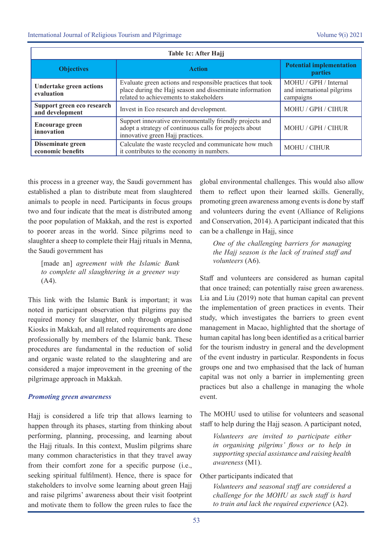| Table 1c: After Hajj                          |                                                                                                                                                                   |                                                                  |  |  |  |
|-----------------------------------------------|-------------------------------------------------------------------------------------------------------------------------------------------------------------------|------------------------------------------------------------------|--|--|--|
| <b>Objectives</b>                             | <b>Action</b>                                                                                                                                                     | <b>Potential implementation</b><br><b>parties</b>                |  |  |  |
| Undertake green actions<br>evaluation         | Evaluate green actions and responsible practices that took<br>place during the Hajj season and disseminate information<br>related to achievements to stakeholders | MOHU / GPH / Internal<br>and international pilgrims<br>campaigns |  |  |  |
| Support green eco research<br>and development | Invest in Eco research and development.                                                                                                                           | MOHU / GPH / CIHUR                                               |  |  |  |
| <b>Encourage green</b><br>innovation          | Support innovative environmentally friendly projects and<br>adopt a strategy of continuous calls for projects about<br>innovative green Hajj practices.           | MOHU / GPH / CIHUR                                               |  |  |  |
| Disseminate green<br>economic benefits        | Calculate the waste recycled and communicate how much<br>it contributes to the economy in numbers.                                                                | MOHU / CIHUR                                                     |  |  |  |

this process in a greener way, the Saudi government has established a plan to distribute meat from slaughtered animals to people in need. Participants in focus groups two and four indicate that the meat is distributed among the poor population of Makkah, and the rest is exported to poorer areas in the world. Since pilgrims need to slaughter a sheep to complete their Hajj rituals in Menna, the Saudi government has

[made an] *agreement with the Islamic Bank to complete all slaughtering in a greener way*   $(A4)$ .

This link with the Islamic Bank is important; it was noted in participant observation that pilgrims pay the required money for slaughter, only through organised Kiosks in Makkah, and all related requirements are done professionally by members of the Islamic bank. These procedures are fundamental in the reduction of solid and organic waste related to the slaughtering and are considered a major improvement in the greening of the pilgrimage approach in Makkah.

#### *Promoting green awareness*

Hajj is considered a life trip that allows learning to happen through its phases, starting from thinking about performing, planning, processing, and learning about the Hajj rituals. In this context, Muslim pilgrims share many common characteristics in that they travel away from their comfort zone for a specific purpose (i.e., seeking spiritual fulfilment). Hence, there is space for stakeholders to involve some learning about green Hajj and raise pilgrims' awareness about their visit footprint and motivate them to follow the green rules to face the

global environmental challenges. This would also allow them to reflect upon their learned skills. Generally, promoting green awareness among events is done by staff and volunteers during the event (Alliance of Religions and Conservation, 2014). A participant indicated that this can be a challenge in Hajj, since

*One of the challenging barriers for managing the Hajj season is the lack of trained staff and volunteers* (A6).

Staff and volunteers are considered as human capital that once trained; can potentially raise green awareness. Lia and Liu (2019) note that human capital can prevent the implementation of green practices in events. Their study, which investigates the barriers to green event management in Macao, highlighted that the shortage of human capital has long been identified as a critical barrier for the tourism industry in general and the development of the event industry in particular. Respondents in focus groups one and two emphasised that the lack of human capital was not only a barrier in implementing green practices but also a challenge in managing the whole event.

The MOHU used to utilise for volunteers and seasonal staff to help during the Hajj season. A participant noted,

*Volunteers are invited to participate either in organising pilgrims' flows or to help in supporting special assistance and raising health awareness* (M1).

Other participants indicated that

*Volunteers and seasonal staff are considered a challenge for the MOHU as such staff is hard to train and lack the required experience* (A2).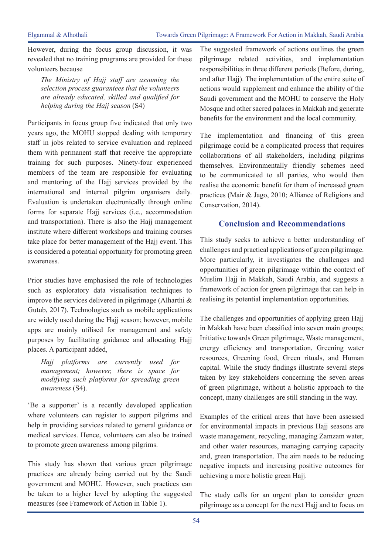However, during the focus group discussion, it was revealed that no training programs are provided for these volunteers because

*The Ministry of Hajj staff are assuming the selection process guarantees that the volunteers are already educated, skilled and qualified for helping during the Hajj season* (S4)

Participants in focus group five indicated that only two years ago, the MOHU stopped dealing with temporary staff in jobs related to service evaluation and replaced them with permanent staff that receive the appropriate training for such purposes. Ninety-four experienced members of the team are responsible for evaluating and mentoring of the Hajj services provided by the international and internal pilgrim organisers daily. Evaluation is undertaken electronically through online forms for separate Hajj services (i.e., accommodation and transportation). There is also the Hajj management institute where different workshops and training courses take place for better management of the Hajj event. This is considered a potential opportunity for promoting green awareness.

Prior studies have emphasised the role of technologies such as exploratory data visualisation techniques to improve the services delivered in pilgrimage (Alharthi & Gutub, 2017). Technologies such as mobile applications are widely used during the Hajj season; however, mobile apps are mainly utilised for management and safety purposes by facilitating guidance and allocating Hajj places. A participant added,

*Hajj platforms are currently used for management; however, there is space for modifying such platforms for spreading green awareness* (S4).

'Be a supporter' is a recently developed application where volunteers can register to support pilgrims and help in providing services related to general guidance or medical services. Hence, volunteers can also be trained to promote green awareness among pilgrims.

This study has shown that various green pilgrimage practices are already being carried out by the Saudi government and MOHU. However, such practices can be taken to a higher level by adopting the suggested measures (see Framework of Action in Table 1).

The suggested framework of actions outlines the green pilgrimage related activities, and implementation responsibilities in three different periods (Before, during, and after Hajj). The implementation of the entire suite of actions would supplement and enhance the ability of the Saudi government and the MOHU to conserve the Holy Mosque and other sacred palaces in Makkah and generate benefits for the environment and the local community.

The implementation and financing of this green pilgrimage could be a complicated process that requires collaborations of all stakeholders, including pilgrims themselves. Environmentally friendly schemes need to be communicated to all parties, who would then realise the economic benefit for them of increased green practices (Mair & Jago, 2010; Alliance of Religions and Conservation, 2014).

# **Conclusion and Recommendations**

This study seeks to achieve a better understanding of challenges and practical applications of green pilgrimage. More particularly, it investigates the challenges and opportunities of green pilgrimage within the context of Muslim Hajj in Makkah, Saudi Arabia, and suggests a framework of action for green pilgrimage that can help in realising its potential implementation opportunities.

The challenges and opportunities of applying green Hajj in Makkah have been classified into seven main groups; Initiative towards Green pilgrimage, Waste management, energy efficiency and transportation, Greening water resources, Greening food, Green rituals, and Human capital. While the study findings illustrate several steps taken by key stakeholders concerning the seven areas of green pilgrimage, without a holistic approach to the concept, many challenges are still standing in the way.

Examples of the critical areas that have been assessed for environmental impacts in previous Hajj seasons are waste management, recycling, managing Zamzam water, and other water resources, managing carrying capacity and, green transportation. The aim needs to be reducing negative impacts and increasing positive outcomes for achieving a more holistic green Hajj.

The study calls for an urgent plan to consider green pilgrimage as a concept for the next Hajj and to focus on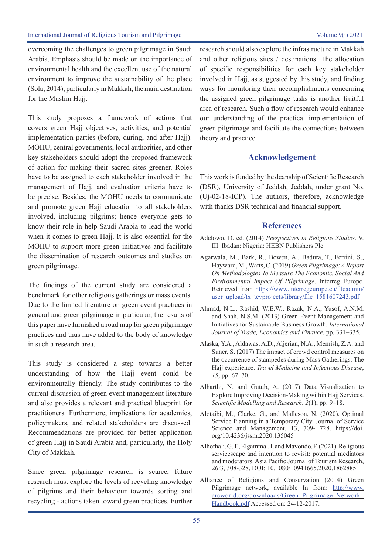overcoming the challenges to green pilgrimage in Saudi Arabia. Emphasis should be made on the importance of environmental health and the excellent use of the natural environment to improve the sustainability of the place (Sola, 2014), particularly in Makkah, the main destination for the Muslim Hajj.

This study proposes a framework of actions that covers green Hajj objectives, activities, and potential implementation parties (before, during, and after Hajj). MOHU, central governments, local authorities, and other key stakeholders should adopt the proposed framework of action for making their sacred sites greener. Roles have to be assigned to each stakeholder involved in the management of Hajj, and evaluation criteria have to be precise. Besides, the MOHU needs to communicate and promote green Hajj education to all stakeholders involved, including pilgrims; hence everyone gets to know their role in help Saudi Arabia to lead the world when it comes to green Hajj. It is also essential for the MOHU to support more green initiatives and facilitate the dissemination of research outcomes and studies on green pilgrimage.

The findings of the current study are considered a benchmark for other religious gatherings or mass events. Due to the limited literature on green event practices in general and green pilgrimage in particular, the results of this paper have furnished a road map for green pilgrimage practices and thus have added to the body of knowledge in such a research area.

This study is considered a step towards a better understanding of how the Hajj event could be environmentally friendly. The study contributes to the current discussion of green event management literature and also provides a relevant and practical blueprint for practitioners. Furthermore, implications for academics, policymakers, and related stakeholders are discussed. Recommendations are provided for better application of green Hajj in Saudi Arabia and, particularly, the Holy City of Makkah.

Since green pilgrimage research is scarce, future research must explore the levels of recycling knowledge of pilgrims and their behaviour towards sorting and recycling - actions taken toward green practices. Further research should also explore the infrastructure in Makkah and other religious sites / destinations. The allocation of specific responsibilities for each key stakeholder involved in Hajj, as suggested by this study, and finding ways for monitoring their accomplishments concerning the assigned green pilgrimage tasks is another fruitful area of research. Such a flow of research would enhance our understanding of the practical implementation of green pilgrimage and facilitate the connections between theory and practice.

## **Acknowledgement**

This work is funded by the deanship of Scientific Research (DSR), University of Jeddah, Jeddah, under grant No. (Uj-02-18-ICP). The authors, therefore, acknowledge with thanks DSR technical and financial support.

#### **References**

- Adelowo, D. ed. (2014) *Perspectives in Religious Studies*. V. III. Ibadan: Nigeria: HEBN Publishers Plc.
- Agarwala, M., Bark, R., Bowen, A., Badura, T., Ferrini, S., Hayward, M., Watts, C. (2019) *Green Pilgrimage: A Report On Methodologies To Measure The Economic, Social And Environmental Impact Of Pilgrimage*. Interreg Europe. Retrieved from https://www.interregeurope.eu/fileadmin/ user\_upload/tx\_tevprojects/library/file\_1581607243.pdf
- Ahmad, N.L., Rashid, W.E.W., Razak, N.A., Yusof, A.N.M. and Shah, N.S.M. (2013) Green Event Management and Initiatives for Sustainable Business Growth. *International Journal of Trade, Economics and Finance*, pp. 331–335.
- Alaska, Y.A., Aldawas, A.D., Aljerian, N.A., Memish, Z.A. and Suner, S. (2017) The impact of crowd control measures on the occurrence of stampedes during Mass Gatherings: The Hajj experience. *Travel Medicine and Infectious Disease*, *15*, pp. 67–70.
- Alharthi, N. and Gutub, A. (2017) Data Visualization to Explore Improving Decision-Making within Hajj Services. *Scientific Modelling and Research*, *2*(1), pp. 9–18.
- Alotaibi, M., Clarke, G., and Malleson, N. (2020). Optimal Service Planning in a Temporary City. Journal of Service Science and Management, 13, 709- 728. https://doi. org/10.4236/jssm.2020.135045
- Alhothali, G.T., Elgammal, I. and Mavondo, F. (2021). Religious servicescape and intention to revisit: potential mediators and moderators. Asia Pacific Journal of Tourism Research, 26:3, 308-328, DOI: 10.1080/10941665.2020.1862885
- Alliance of Religions and Conservation (2014) Green Pilgrimage network, available In from: http://www. arcworld.org/downloads/Green\_Pilgrimage\_Network\_ Handbook.pdf Accessed on: 24-12-2017.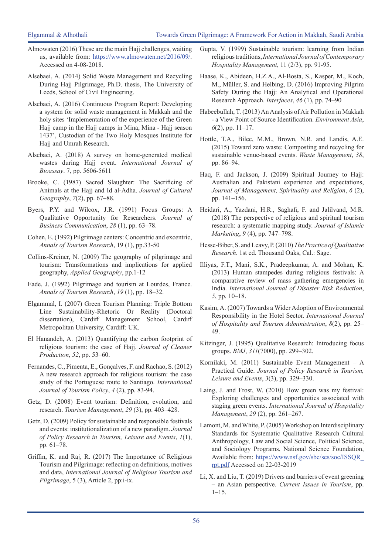- Almowaten (2016) These are the main Hajj challenges, waiting us, available from: https://www.almowaten.net/2016/09/. Accessed on 4-08-2018.
- Alsebaei, A. (2014) Solid Waste Management and Recycling During Hajj Pilgrimage, Ph.D. thesis, The University of Leeds, School of Civil Engineering.
- Alsebaei, A. (2016) Continuous Program Report: Developing a system for solid waste management in Makkah and the holy sites 'Implementation of the experience of the Green Hajj camp in the Hajj camps in Mina, Mina - Hajj season 1437', Custodian of the Two Holy Mosques Institute for Hajj and Umrah Research.
- Alsebaei, A. (2018) A survey on home-generated medical wastes during Hajj event. *International Journal of Bioassay*. 7, pp. 5606-5611
- Brooke, C. (1987) Sacred Slaughter: The Sacrificing of Animals at the Hajj and Id al-Adha. *Journal of Cultural Geography*, *7*(2), pp. 67–88.
- Byers, P.Y. and Wilcox, J.R. (1991) Focus Groups: A Qualitative Opportunity for Researchers. *Journal of Business Communication*, *28* (1), pp. 63–78.
- Cohen, E. (1992) Pilgrimage centers: Concentric and excentric, *Annals of Tourism Research*, 19 (1), pp.33-50
- Collins-Kreiner, N. (2009) The geography of pilgrimage and tourism: Transformations and implications for applied geography, *Applied Geography*, pp.1-12
- Eade, J. (1992) Pilgrimage and tourism at Lourdes, France. *Annals of Tourism Research*, *19* (1), pp. 18–32.
- Elgammal, I. (2007) Green Tourism Planning: Triple Bottom Line Sustainability-Rhetoric Or Reality (Doctoral dissertation), Cardiff Management School, Cardiff Metropolitan University, Cardiff: UK.
- El Hanandeh, A. (2013) Quantifying the carbon footprint of religious tourism: the case of Hajj. *Journal of Cleaner Production*, *52*, pp. 53–60.
- Fernandes, C., Pimenta, E., Gonçalves, F. and Rachao, S. (2012) A new research approach for religious tourism: the case study of the Portuguese route to Santiago. *International Journal of Tourism Policy*, *4* (2), pp. 83-94.
- Getz, D. (2008) Event tourism: Definition, evolution, and research. *Tourism Management*, *29* (3), pp. 403–428.
- Getz, D. (2009) Policy for sustainable and responsible festivals and events: institutionalization of a new paradigm. *Journal of Policy Research in Tourism, Leisure and Events*, *1*(1), pp. 61–78.
- Griffin, K. and Raj, R. (2017) The Importance of Religious Tourism and Pilgrimage: reflecting on definitions, motives and data, *International Journal of Religious Tourism and Pilgrimage*, 5 (3), Article 2, pp:i-ix.
- Gupta, V. (1999) Sustainable tourism: learning from Indian religious traditions, *International Journal of Contemporary Hospitality Management*, 11 (2/3), pp. 91-95.
- Haase, K., Abideen, H.Z.A., Al-Bosta, S., Kasper, M., Koch, M., Müller, S. and Helbing, D. (2016) Improving Pilgrim Safety During the Haji: An Analytical and Operational Research Approach. *Interfaces*, *46* (1), pp. 74–90
- Habeebullah, T. (2013) An Analysis of Air Pollution in Makkah - a View Point of Source Identification. *Environment Asia*, *6*(2), pp. 11–17.
- Hottle, T.A., Bilec, M.M., Brown, N.R. and Landis, A.E. (2015) Toward zero waste: Composting and recycling for sustainable venue-based events. *Waste Management*, *38*, pp. 86–94.
- Haq, F. and Jackson, J. (2009) Spiritual Journey to Hajj: Australian and Pakistani experience and expectations, *Journal of Management, Spirituality and Religion*, *6* (2), pp. 141–156.
- Heidari, A., Yazdani, H.R., Saghafi, F. and Jalilvand, M.R. (2018) The perspective of religious and spiritual tourism research: a systematic mapping study. *Journal of Islamic Marketing*, *9* (4), pp. 747–798.
- Hesse-Biber, S. and Leavy, P. (2010) *The Practice of Qualitative Research*. 1st ed. Thousand Oaks, Cal.: Sage.
- Illiyas, F.T., Mani, S.K., Pradeepkumar, A. and Mohan, K. (2013) Human stampedes during religious festivals: A comparative review of mass gathering emergencies in India. *International Journal of Disaster Risk Reduction*, *5*, pp. 10–18.
- Kasim, A. (2007) Towards a Wider Adoption of Environmental Responsibility in the Hotel Sector. *International Journal of Hospitality and Tourism Administration*, *8*(2), pp. 25– 49.
- Kitzinger, J. (1995) Qualitative Research: Introducing focus groups. *BMJ*, *311*(7000), pp. 299–302.
- Kornilaki, M. (2011) Sustainable Event Management A Practical Guide. *Journal of Policy Research in Tourism, Leisure and Events*, *3*(3), pp. 329–330.
- Laing, J. and Frost, W. (2010) How green was my festival: Exploring challenges and opportunities associated with staging green events. *International Journal of Hospitality Management*, *29* (2), pp. 261–267.
- Lamont, M. and White, P. (2005) Workshop on Interdisciplinary Standards for Systematic Qualitative Research Cultural Anthropology, Law and Social Science, Political Science, and Sociology Programs, National Science Foundation, Available from: https://www.nsf.gov/sbe/ses/soc/ISSQR\_ rpt.pdf Accessed on 22-03-2019
- Li, X. and Liu, T. (2019) Drivers and barriers of event greening – an Asian perspective. *Current Issues in Tourism*, pp.  $1-15.$